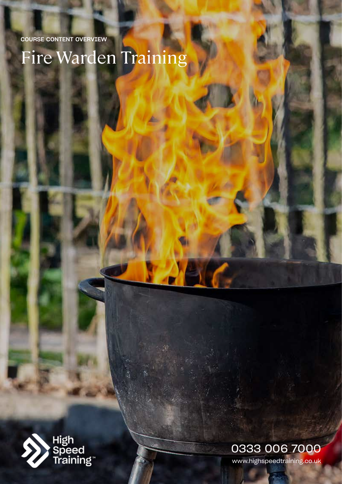# Fire Warden Training



0333 006 7000

www.highspeedtraining.co.uk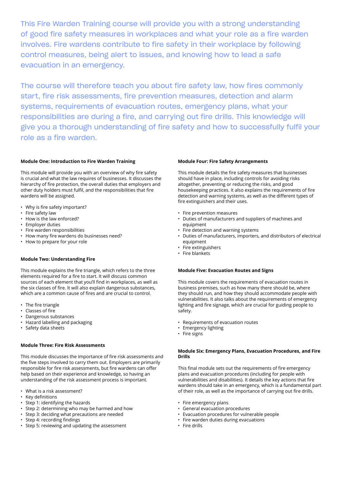This Fire Warden Training course will provide you with a strong understanding of good fire safety measures in workplaces and what your role as a fire warden involves. Fire wardens contribute to fire safety in their workplace by following control measures, being alert to issues, and knowing how to lead a safe evacuation in an emergency.

The course will therefore teach you about fire safety law, how fires commonly start, fire risk assessments, fire prevention measures, detection and alarm systems, requirements of evacuation routes, emergency plans, what your responsibilities are during a fire, and carrying out fire drills. This knowledge will give you a thorough understanding of fire safety and how to successfully fulfil your role as a fire warden.

#### **Module One: Introduction to Fire Warden Training**

This module will provide you with an overview of why fire safety is crucial and what the law requires of businesses. It discusses the hierarchy of fire protection, the overall duties that employers and other duty holders must fulfil, and the responsibilities that fire wardens will be assigned.

- Why is fire safety important?
- Fire safety law
- How is the law enforced?
- Employer duties
- Fire warden responsibilities
- How many fire wardens do businesses need?
- How to prepare for your role

#### **Module Two: Understanding Fire**

This module explains the fire triangle, which refers to the three elements required for a fire to start. It will discuss common sources of each element that you'll find in workplaces, as well as the six classes of fire. It will also explain dangerous substances, which are a common cause of fires and are crucial to control.

- The fire triangle
- Classes of fire
- Dangerous substances
- Hazard labelling and packaging
- Safety data sheets

### **Module Three: Fire Risk Assessments**

This module discusses the importance of fire risk assessments and the five steps involved to carry them out. Employers are primarily responsible for fire risk assessments, but fire wardens can offer help based on their experience and knowledge, so having an understanding of the risk assessment process is important.

- What is a risk assessment?
- Key definitions
- Step 1: identifying the hazards
- Step 2: determining who may be harmed and how
- Step 3: deciding what precautions are needed
- Step 4: recording findings
- Step 5: reviewing and updating the assessment

#### **Module Four: Fire Safety Arrangements**

This module details the fire safety measures that businesses should have in place, including controls for avoiding risks altogether, preventing or reducing the risks, and good housekeeping practices. It also explains the requirements of fire detection and warning systems, as well as the different types of fire extinguishers and their uses.

- Fire prevention measures
- Duties of manufacturers and suppliers of machines and equipment
- Fire detection and warning systems
- Duties of manufacturers, importers, and distributors of electrical equipment
- Fire extinguishers
- Fire blankets

#### **Module Five: Evacuation Routes and Signs**

This module covers the requirements of evacuation routes in business premises, such as how many there should be, where they should run, and how they should accommodate people with vulnerabilities. It also talks about the requirements of emergency lighting and fire signage, which are crucial for guiding people to safety.

- Requirements of evacuation routes
- Emergency lighting
- Fire signs

#### **Module Six: Emergency Plans, Evacuation Procedures, and Fire Drills**

This final module sets out the requirements of fire emergency plans and evacuation procedures (including for people with vulnerabilities and disabilities). It details the key actions that fire wardens should take in an emergency, which is a fundamental part of their role, as well as the importance of carrying out fire drills.

- Fire emergency plans
- General evacuation procedures
- Evacuation procedures for vulnerable people
- Fire warden duties during evacuations
- Fire drills